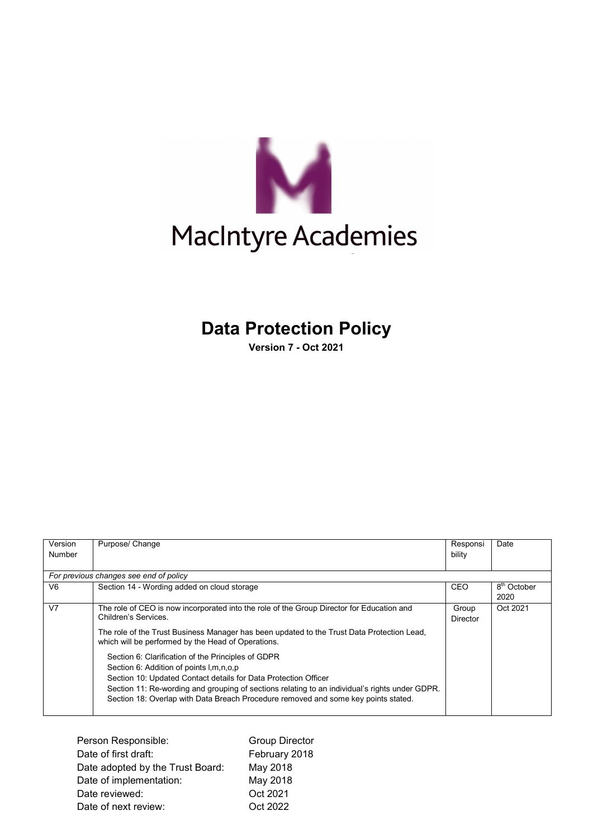

# **Data Protection Policy**

**Version 7 - Oct 2021**

| Version<br>Number | Purpose/ Change                                                                                                                                                                                                                                                                                                                                              | Responsi<br>bility | Date                            |  |  |
|-------------------|--------------------------------------------------------------------------------------------------------------------------------------------------------------------------------------------------------------------------------------------------------------------------------------------------------------------------------------------------------------|--------------------|---------------------------------|--|--|
|                   | For previous changes see end of policy                                                                                                                                                                                                                                                                                                                       |                    |                                 |  |  |
| V <sub>6</sub>    | Section 14 - Wording added on cloud storage                                                                                                                                                                                                                                                                                                                  | CEO                | 8 <sup>th</sup> October<br>2020 |  |  |
| V <sub>7</sub>    | The role of CEO is now incorporated into the role of the Group Director for Education and<br>Children's Services.<br>The role of the Trust Business Manager has been updated to the Trust Data Protection Lead.<br>which will be performed by the Head of Operations.                                                                                        | Group<br>Director  | Oct 2021                        |  |  |
|                   | Section 6: Clarification of the Principles of GDPR<br>Section 6: Addition of points I, m, n, o, p<br>Section 10: Updated Contact details for Data Protection Officer<br>Section 11: Re-wording and grouping of sections relating to an individual's rights under GDPR.<br>Section 18: Overlap with Data Breach Procedure removed and some key points stated. |                    |                                 |  |  |

| Person Responsible:              | <b>Group Director</b> |
|----------------------------------|-----------------------|
| Date of first draft:             | February 2018         |
| Date adopted by the Trust Board: | May 2018              |
| Date of implementation:          | May 2018              |
| Date reviewed:                   | Oct 2021              |
| Date of next review:             | Oct 2022              |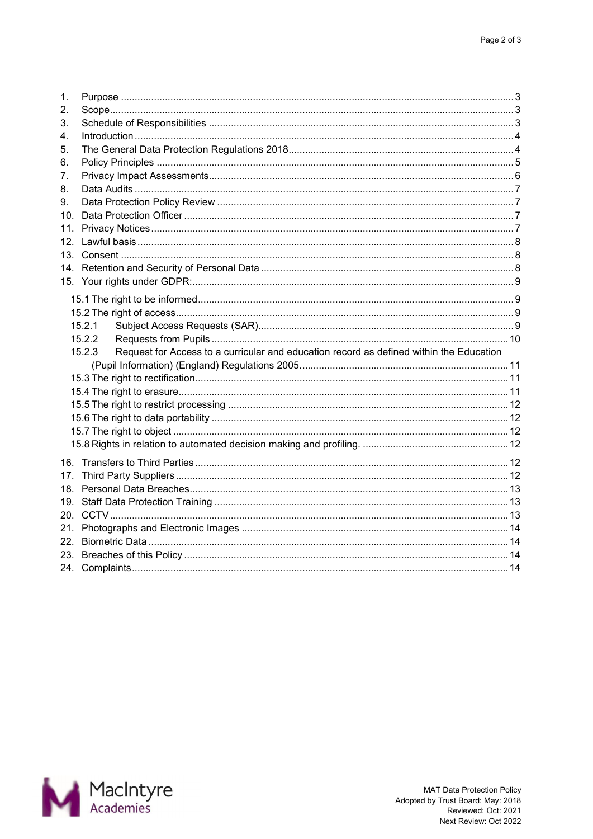| 1.              |                                                                                                   |  |
|-----------------|---------------------------------------------------------------------------------------------------|--|
| 2.              |                                                                                                   |  |
| 3.<br>4.        |                                                                                                   |  |
| 5.              |                                                                                                   |  |
| 6.              |                                                                                                   |  |
| 7.              |                                                                                                   |  |
| 8.              |                                                                                                   |  |
| 9.              |                                                                                                   |  |
| 10.             |                                                                                                   |  |
| 11.             |                                                                                                   |  |
| 12 <sup>7</sup> |                                                                                                   |  |
|                 |                                                                                                   |  |
|                 |                                                                                                   |  |
|                 |                                                                                                   |  |
|                 |                                                                                                   |  |
|                 |                                                                                                   |  |
|                 | 15.2.1                                                                                            |  |
|                 | 15.2.2                                                                                            |  |
|                 | Request for Access to a curricular and education record as defined within the Education<br>15.2.3 |  |
|                 |                                                                                                   |  |
|                 |                                                                                                   |  |
|                 |                                                                                                   |  |
|                 |                                                                                                   |  |
|                 |                                                                                                   |  |
|                 |                                                                                                   |  |
|                 |                                                                                                   |  |
|                 |                                                                                                   |  |
| 17.             |                                                                                                   |  |
|                 |                                                                                                   |  |
|                 |                                                                                                   |  |
| 21.             |                                                                                                   |  |
| 22.             |                                                                                                   |  |
| 23.             |                                                                                                   |  |
|                 |                                                                                                   |  |
|                 |                                                                                                   |  |

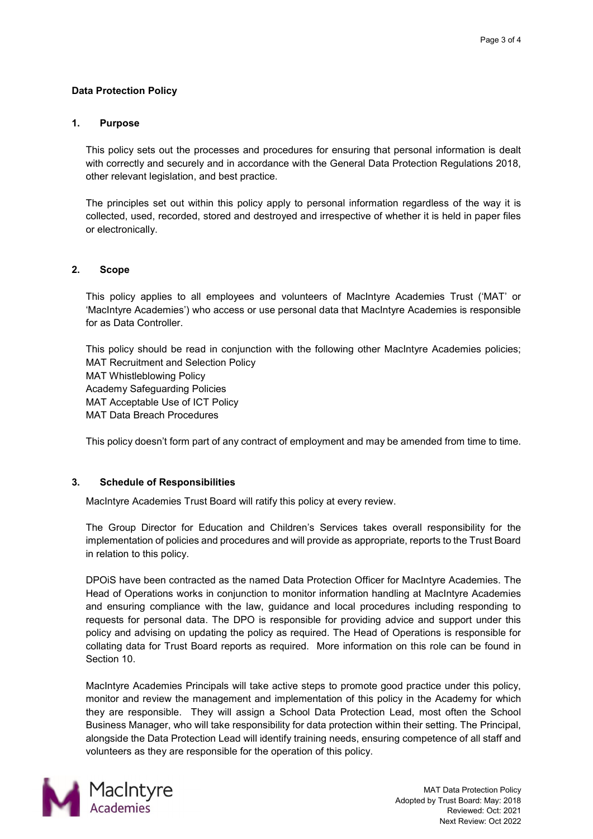# **Data Protection Policy**

#### <span id="page-2-0"></span>**1. Purpose**

This policy sets out the processes and procedures for ensuring that personal information is dealt with correctly and securely and in accordance with the General Data Protection Regulations 2018, other relevant legislation, and best practice.

The principles set out within this policy apply to personal information regardless of the way it is collected, used, recorded, stored and destroyed and irrespective of whether it is held in paper files or electronically.

# <span id="page-2-1"></span>**2. Scope**

This policy applies to all employees and volunteers of MacIntyre Academies Trust ('MAT' or 'MacIntyre Academies') who access or use personal data that MacIntyre Academies is responsible for as Data Controller.

This policy should be read in conjunction with the following other MacIntyre Academies policies; MAT Recruitment and Selection Policy MAT Whistleblowing Policy Academy Safeguarding Policies MAT Acceptable Use of ICT Policy MAT Data Breach Procedures

This policy doesn't form part of any contract of employment and may be amended from time to time.

# <span id="page-2-2"></span>**3. Schedule of Responsibilities**

MacIntyre Academies Trust Board will ratify this policy at every review.

The Group Director for Education and Children's Services takes overall responsibility for the implementation of policies and procedures and will provide as appropriate, reports to the Trust Board in relation to this policy.

DPOiS have been contracted as the named Data Protection Officer for MacIntyre Academies. The Head of Operations works in conjunction to monitor information handling at MacIntyre Academies and ensuring compliance with the law, guidance and local procedures including responding to requests for personal data. The DPO is responsible for providing advice and support under this policy and advising on updating the policy as required. The Head of Operations is responsible for collating data for Trust Board reports as required. More information on this role can be found in Section 10.

MacIntyre Academies Principals will take active steps to promote good practice under this policy, monitor and review the management and implementation of this policy in the Academy for which they are responsible. They will assign a School Data Protection Lead, most often the School Business Manager, who will take responsibility for data protection within their setting. The Principal, alongside the Data Protection Lead will identify training needs, ensuring competence of all staff and volunteers as they are responsible for the operation of this policy.

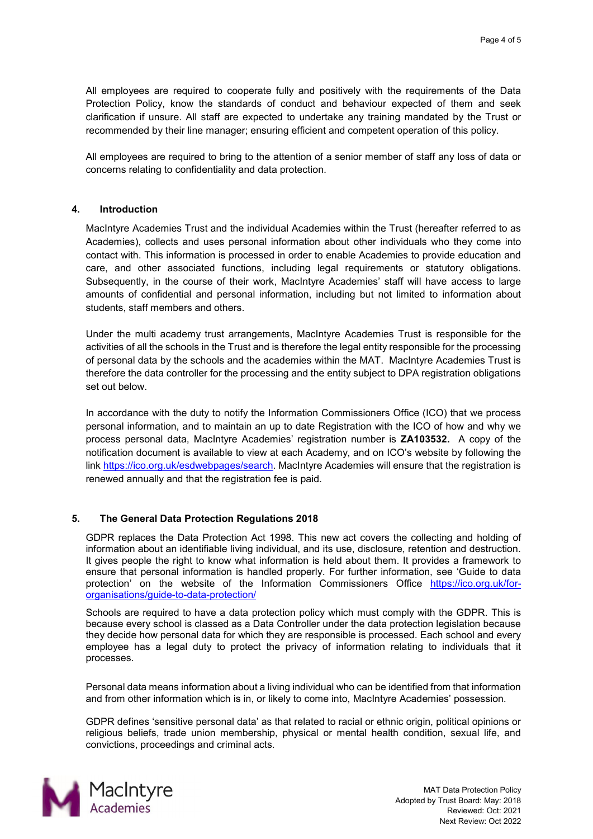All employees are required to cooperate fully and positively with the requirements of the Data Protection Policy, know the standards of conduct and behaviour expected of them and seek clarification if unsure. All staff are expected to undertake any training mandated by the Trust or recommended by their line manager; ensuring efficient and competent operation of this policy.

All employees are required to bring to the attention of a senior member of staff any loss of data or concerns relating to confidentiality and data protection.

#### <span id="page-3-0"></span>**4. Introduction**

MacIntyre Academies Trust and the individual Academies within the Trust (hereafter referred to as Academies), collects and uses personal information about other individuals who they come into contact with. This information is processed in order to enable Academies to provide education and care, and other associated functions, including legal requirements or statutory obligations. Subsequently, in the course of their work, MacIntyre Academies' staff will have access to large amounts of confidential and personal information, including but not limited to information about students, staff members and others.

Under the multi academy trust arrangements, MacIntyre Academies Trust is responsible for the activities of all the schools in the Trust and is therefore the legal entity responsible for the processing of personal data by the schools and the academies within the MAT. MacIntyre Academies Trust is therefore the data controller for the processing and the entity subject to DPA registration obligations set out below.

In accordance with the duty to notify the Information Commissioners Office (ICO) that we process personal information, and to maintain an up to date Registration with the ICO of how and why we process personal data, MacIntyre Academies' registration number is **ZA103532.** A copy of the notification document is available to view at each Academy, and on ICO's website by following the link [https://ico.org.uk/esdwebpages/search.](https://ico.org.uk/esdwebpages/search) MacIntyre Academies will ensure that the registration is renewed annually and that the registration fee is paid.

# <span id="page-3-1"></span>**5. The General Data Protection Regulations 2018**

GDPR replaces the Data Protection Act 1998. This new act covers the collecting and holding of information about an identifiable living individual, and its use, disclosure, retention and destruction. It gives people the right to know what information is held about them. It provides a framework to ensure that personal information is handled properly. For further information, see 'Guide to data protection' on the website of the Information Commissioners Office [https://ico.org.uk/for](https://ico.org.uk/for-organisations/guide-to-data-protection/)[organisations/guide-to-data-protection/](https://ico.org.uk/for-organisations/guide-to-data-protection/) 

Schools are required to have a data protection policy which must comply with the GDPR. This is because every school is classed as a Data Controller under the data protection legislation because they decide how personal data for which they are responsible is processed. Each school and every employee has a legal duty to protect the privacy of information relating to individuals that it processes.

Personal data means information about a living individual who can be identified from that information and from other information which is in, or likely to come into, MacIntyre Academies' possession.

GDPR defines 'sensitive personal data' as that related to racial or ethnic origin, political opinions or religious beliefs, trade union membership, physical or mental health condition, sexual life, and convictions, proceedings and criminal acts.

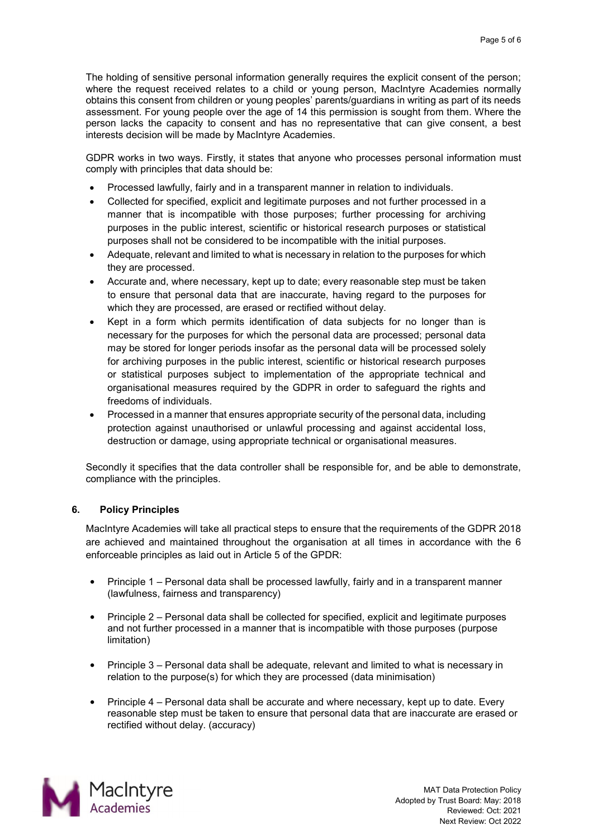The holding of sensitive personal information generally requires the explicit consent of the person; where the request received relates to a child or young person, MacIntyre Academies normally obtains this consent from children or young peoples' parents/guardians in writing as part of its needs assessment. For young people over the age of 14 this permission is sought from them. Where the person lacks the capacity to consent and has no representative that can give consent, a best interests decision will be made by MacIntyre Academies.

GDPR works in two ways. Firstly, it states that anyone who processes personal information must comply with principles that data should be:

- Processed lawfully, fairly and in a transparent manner in relation to individuals.
- Collected for specified, explicit and legitimate purposes and not further processed in a manner that is incompatible with those purposes; further processing for archiving purposes in the public interest, scientific or historical research purposes or statistical purposes shall not be considered to be incompatible with the initial purposes.
- Adequate, relevant and limited to what is necessary in relation to the purposes for which they are processed.
- Accurate and, where necessary, kept up to date; every reasonable step must be taken to ensure that personal data that are inaccurate, having regard to the purposes for which they are processed, are erased or rectified without delay.
- Kept in a form which permits identification of data subjects for no longer than is necessary for the purposes for which the personal data are processed; personal data may be stored for longer periods insofar as the personal data will be processed solely for archiving purposes in the public interest, scientific or historical research purposes or statistical purposes subject to implementation of the appropriate technical and organisational measures required by the GDPR in order to safeguard the rights and freedoms of individuals.
- Processed in a manner that ensures appropriate security of the personal data, including protection against unauthorised or unlawful processing and against accidental loss, destruction or damage, using appropriate technical or organisational measures.

Secondly it specifies that the data controller shall be responsible for, and be able to demonstrate, compliance with the principles.

# <span id="page-4-0"></span>**6. Policy Principles**

MacIntyre Academies will take all practical steps to ensure that the requirements of the GDPR 2018 are achieved and maintained throughout the organisation at all times in accordance with the 6 enforceable principles as laid out in Article 5 of the GPDR:

- Principle 1 Personal data shall be processed lawfully, fairly and in a transparent manner (lawfulness, fairness and transparency)
- Principle 2 Personal data shall be collected for specified, explicit and legitimate purposes and not further processed in a manner that is incompatible with those purposes (purpose limitation)
- Principle 3 Personal data shall be adequate, relevant and limited to what is necessary in relation to the purpose(s) for which they are processed (data minimisation)
- Principle 4 Personal data shall be accurate and where necessary, kept up to date. Every reasonable step must be taken to ensure that personal data that are inaccurate are erased or rectified without delay. (accuracy)

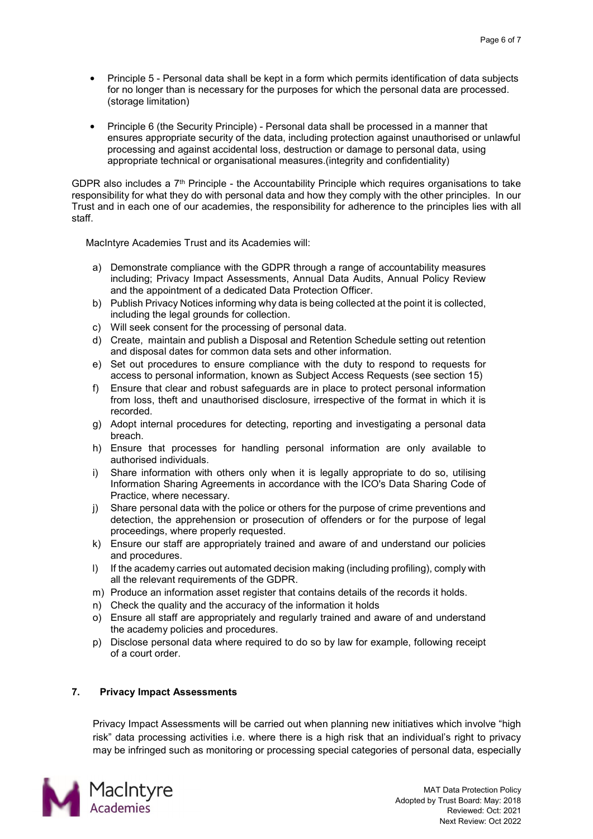- Principle 5 Personal data shall be kept in a form which permits identification of data subjects for no longer than is necessary for the purposes for which the personal data are processed. (storage limitation)
- Principle 6 (the Security Principle) Personal data shall be processed in a manner that ensures appropriate security of the data, including protection against unauthorised or unlawful processing and against accidental loss, destruction or damage to personal data, using appropriate technical or organisational measures.(integrity and confidentiality)

GDPR also includes a  $7<sup>th</sup>$  Principle - the Accountability Principle which requires organisations to take responsibility for what they do with personal data and how they comply with the other principles. In our Trust and in each one of our academies, the responsibility for adherence to the principles lies with all staff.

MacIntyre Academies Trust and its Academies will:

- a) Demonstrate compliance with the GDPR through a range of accountability measures including; Privacy Impact Assessments, Annual Data Audits, Annual Policy Review and the appointment of a dedicated Data Protection Officer.
- b) Publish Privacy Notices informing why data is being collected at the point it is collected, including the legal grounds for collection.
- c) Will seek consent for the processing of personal data.
- d) Create, maintain and publish a Disposal and Retention Schedule setting out retention and disposal dates for common data sets and other information.
- e) Set out procedures to ensure compliance with the duty to respond to requests for access to personal information, known as Subject Access Requests (see section 15)
- f) Ensure that clear and robust safeguards are in place to protect personal information from loss, theft and unauthorised disclosure, irrespective of the format in which it is recorded.
- g) Adopt internal procedures for detecting, reporting and investigating a personal data breach.
- h) Ensure that processes for handling personal information are only available to authorised individuals.
- i) Share information with others only when it is legally appropriate to do so, utilising Information Sharing Agreements in accordance with the ICO's Data Sharing Code of Practice, where necessary.
- j) Share personal data with the police or others for the purpose of crime preventions and detection, the apprehension or prosecution of offenders or for the purpose of legal proceedings, where properly requested.
- k) Ensure our staff are appropriately trained and aware of and understand our policies and procedures.
- I) If the academy carries out automated decision making (including profiling), comply with all the relevant requirements of the GDPR.
- m) Produce an information asset register that contains details of the records it holds.
- n) Check the quality and the accuracy of the information it holds
- o) Ensure all staff are appropriately and regularly trained and aware of and understand the academy policies and procedures.
- p) Disclose personal data where required to do so by law for example, following receipt of a court order.

# <span id="page-5-0"></span>**7. Privacy Impact Assessments**

Privacy Impact Assessments will be carried out when planning new initiatives which involve "high risk" data processing activities i.e. where there is a high risk that an individual's right to privacy may be infringed such as monitoring or processing special categories of personal data, especially

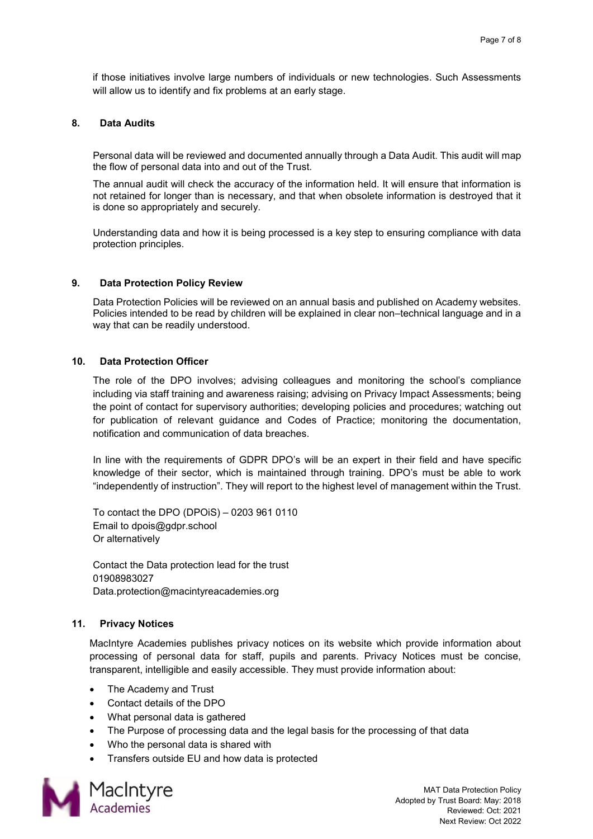if those initiatives involve large numbers of individuals or new technologies. Such Assessments will allow us to identify and fix problems at an early stage.

#### <span id="page-6-0"></span>**8. Data Audits**

Personal data will be reviewed and documented annually through a Data Audit. This audit will map the flow of personal data into and out of the Trust.

The annual audit will check the accuracy of the information held. It will ensure that information is not retained for longer than is necessary, and that when obsolete information is destroyed that it is done so appropriately and securely.

Understanding data and how it is being processed is a key step to ensuring compliance with data protection principles.

#### <span id="page-6-1"></span>**9. Data Protection Policy Review**

Data Protection Policies will be reviewed on an annual basis and published on Academy websites. Policies intended to be read by children will be explained in clear non–technical language and in a way that can be readily understood.

#### <span id="page-6-2"></span>**10. Data Protection Officer**

The role of the DPO involves; advising colleagues and monitoring the school's compliance including via staff training and awareness raising; advising on Privacy Impact Assessments; being the point of contact for supervisory authorities; developing policies and procedures; watching out for publication of relevant guidance and Codes of Practice; monitoring the documentation, notification and communication of data breaches.

In line with the requirements of GDPR DPO's will be an expert in their field and have specific knowledge of their sector, which is maintained through training. DPO's must be able to work "independently of instruction". They will report to the highest level of management within the Trust.

To contact the DPO (DPOiS) – 0203 961 0110 Email to dpois@gdpr.school Or alternatively

Contact the Data protection lead for the trust 01908983027 Data.protection@macintyreacademies.org

# <span id="page-6-3"></span>**11. Privacy Notices**

MacIntyre Academies publishes privacy notices on its website which provide information about processing of personal data for staff, pupils and parents. Privacy Notices must be concise, transparent, intelligible and easily accessible. They must provide information about:

- The Academy and Trust
- Contact details of the DPO
- What personal data is gathered
- The Purpose of processing data and the legal basis for the processing of that data
- Who the personal data is shared with
- Transfers outside EU and how data is protected

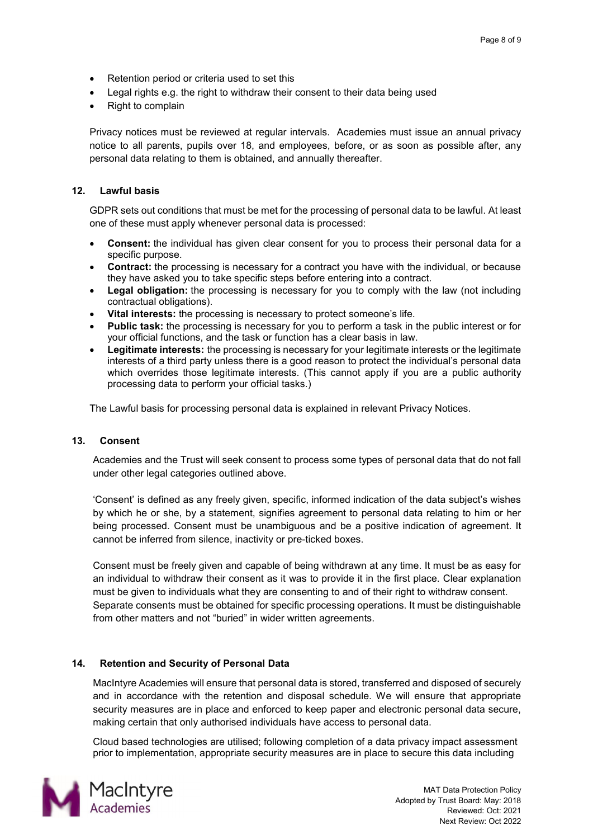- Retention period or criteria used to set this
- Legal rights e.g. the right to withdraw their consent to their data being used
- Right to complain

Privacy notices must be reviewed at regular intervals. Academies must issue an annual privacy notice to all parents, pupils over 18, and employees, before, or as soon as possible after, any personal data relating to them is obtained, and annually thereafter.

# <span id="page-7-0"></span>**12. Lawful basis**

GDPR sets out conditions that must be met for the processing of personal data to be lawful. At least one of these must apply whenever personal data is processed:

- **Consent:** the individual has given clear consent for you to process their personal data for a specific purpose.
- **Contract:** the processing is necessary for a contract you have with the individual, or because they have asked you to take specific steps before entering into a contract.
- **Legal obligation:** the processing is necessary for you to comply with the law (not including contractual obligations).
- **Vital interests:** the processing is necessary to protect someone's life.
- **Public task:** the processing is necessary for you to perform a task in the public interest or for your official functions, and the task or function has a clear basis in law.
- **Legitimate interests:** the processing is necessary for your legitimate interests or the legitimate interests of a third party unless there is a good reason to protect the individual's personal data which overrides those legitimate interests. (This cannot apply if you are a public authority processing data to perform your official tasks.)

The Lawful basis for processing personal data is explained in relevant Privacy Notices.

# <span id="page-7-1"></span>**13. Consent**

Academies and the Trust will seek consent to process some types of personal data that do not fall under other legal categories outlined above.

'Consent' is defined as any freely given, specific, informed indication of the data subject's wishes by which he or she, by a statement, signifies agreement to personal data relating to him or her being processed. Consent must be unambiguous and be a positive indication of agreement. It cannot be inferred from silence, inactivity or pre-ticked boxes.

Consent must be freely given and capable of being withdrawn at any time. It must be as easy for an individual to withdraw their consent as it was to provide it in the first place. Clear explanation must be given to individuals what they are consenting to and of their right to withdraw consent. Separate consents must be obtained for specific processing operations. It must be distinguishable from other matters and not "buried" in wider written agreements.

# <span id="page-7-2"></span>**14. Retention and Security of Personal Data**

MacIntyre Academies will ensure that personal data is stored, transferred and disposed of securely and in accordance with the retention and disposal schedule. We will ensure that appropriate security measures are in place and enforced to keep paper and electronic personal data secure, making certain that only authorised individuals have access to personal data.

Cloud based technologies are utilised; following completion of a data privacy impact assessment prior to implementation, appropriate security measures are in place to secure this data including

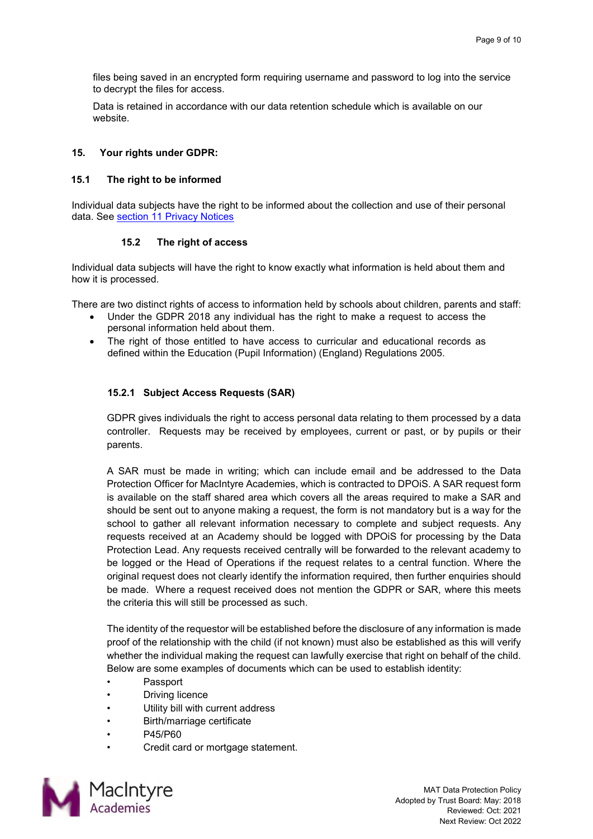files being saved in an encrypted form requiring username and password to log into the service to decrypt the files for access.

Data is retained in accordance with our data retention schedule which is available on our website.

#### <span id="page-8-0"></span>**15. Your rights under GDPR:**

#### <span id="page-8-1"></span>**15.1 The right to be informed**

Individual data subjects have the right to be informed about the collection and use of their personal data. See [section 11 Privacy Notices](#page-6-3)

#### **15.2 The right of access**

<span id="page-8-2"></span>Individual data subjects will have the right to know exactly what information is held about them and how it is processed.

There are two distinct rights of access to information held by schools about children, parents and staff:

- Under the GDPR 2018 any individual has the right to make a request to access the personal information held about them.
- The right of those entitled to have access to curricular and educational records as defined within the Education (Pupil Information) (England) Regulations 2005.

# <span id="page-8-3"></span>**15.2.1 Subject Access Requests (SAR)**

GDPR gives individuals the right to access personal data relating to them processed by a data controller. Requests may be received by employees, current or past, or by pupils or their parents.

A SAR must be made in writing; which can include email and be addressed to the Data Protection Officer for MacIntyre Academies, which is contracted to DPOiS. A SAR request form is available on the staff shared area which covers all the areas required to make a SAR and should be sent out to anyone making a request, the form is not mandatory but is a way for the school to gather all relevant information necessary to complete and subject requests. Any requests received at an Academy should be logged with DPOiS for processing by the Data Protection Lead. Any requests received centrally will be forwarded to the relevant academy to be logged or the Head of Operations if the request relates to a central function. Where the original request does not clearly identify the information required, then further enquiries should be made. Where a request received does not mention the GDPR or SAR, where this meets the criteria this will still be processed as such.

The identity of the requestor will be established before the disclosure of any information is made proof of the relationship with the child (if not known) must also be established as this will verify whether the individual making the request can lawfully exercise that right on behalf of the child. Below are some examples of documents which can be used to establish identity:

- Passport
- **Driving licence**
- Utility bill with current address
- Birth/marriage certificate
- P45/P60
- Credit card or mortgage statement.

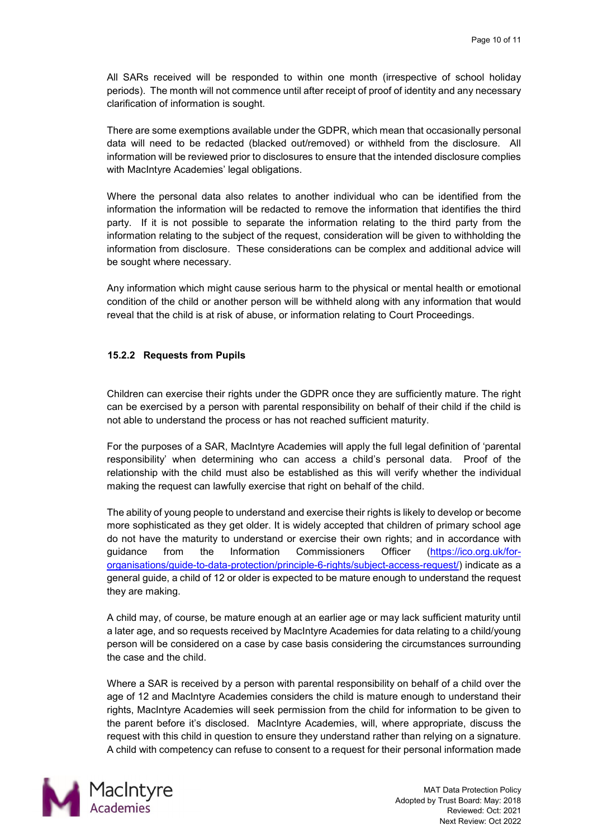All SARs received will be responded to within one month (irrespective of school holiday periods). The month will not commence until after receipt of proof of identity and any necessary clarification of information is sought.

There are some exemptions available under the GDPR, which mean that occasionally personal data will need to be redacted (blacked out/removed) or withheld from the disclosure. All information will be reviewed prior to disclosures to ensure that the intended disclosure complies with MacIntyre Academies' legal obligations.

Where the personal data also relates to another individual who can be identified from the information the information will be redacted to remove the information that identifies the third party. If it is not possible to separate the information relating to the third party from the information relating to the subject of the request, consideration will be given to withholding the information from disclosure. These considerations can be complex and additional advice will be sought where necessary.

Any information which might cause serious harm to the physical or mental health or emotional condition of the child or another person will be withheld along with any information that would reveal that the child is at risk of abuse, or information relating to Court Proceedings.

# <span id="page-9-0"></span>**15.2.2 Requests from Pupils**

Children can exercise their rights under the GDPR once they are sufficiently mature. The right can be exercised by a person with parental responsibility on behalf of their child if the child is not able to understand the process or has not reached sufficient maturity.

For the purposes of a SAR, MacIntyre Academies will apply the full legal definition of 'parental responsibility' when determining who can access a child's personal data. Proof of the relationship with the child must also be established as this will verify whether the individual making the request can lawfully exercise that right on behalf of the child.

The ability of young people to understand and exercise their rights is likely to develop or become more sophisticated as they get older. It is widely accepted that children of primary school age do not have the maturity to understand or exercise their own rights; and in accordance with guidance from the Information Commissioners Officer [\(https://ico.org.uk/for](https://ico.org.uk/for-organisations/guide-to-data-protection/principle-6-rights/subject-access-request/)[organisations/guide-to-data-protection/principle-6-rights/subject-access-request/\)](https://ico.org.uk/for-organisations/guide-to-data-protection/principle-6-rights/subject-access-request/) indicate as a general guide, a child of 12 or older is expected to be mature enough to understand the request they are making.

A child may, of course, be mature enough at an earlier age or may lack sufficient maturity until a later age, and so requests received by MacIntyre Academies for data relating to a child/young person will be considered on a case by case basis considering the circumstances surrounding the case and the child.

Where a SAR is received by a person with parental responsibility on behalf of a child over the age of 12 and MacIntyre Academies considers the child is mature enough to understand their rights, MacIntyre Academies will seek permission from the child for information to be given to the parent before it's disclosed. MacIntyre Academies, will, where appropriate, discuss the request with this child in question to ensure they understand rather than relying on a signature. A child with competency can refuse to consent to a request for their personal information made

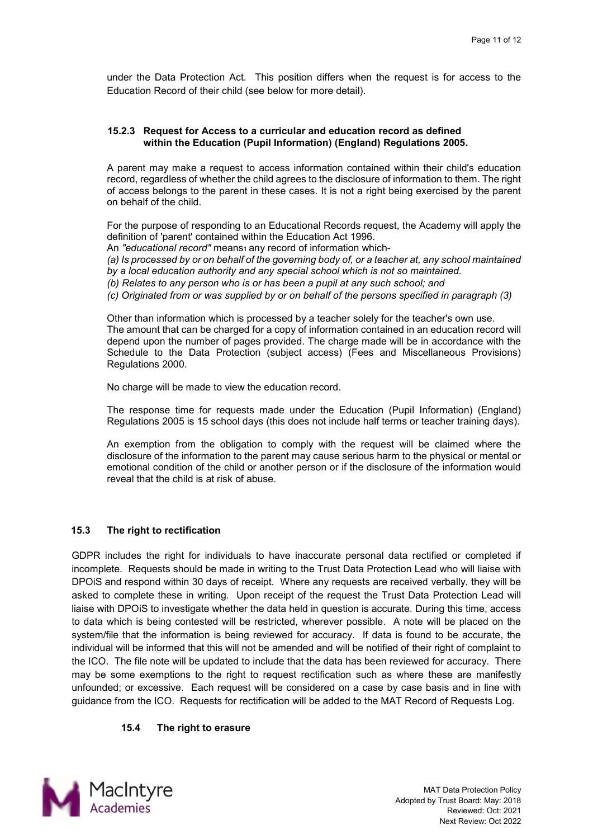under the Data Protection Act. This position differs when the request is for access to the Education Record of their child (see below for more detail).

#### <span id="page-10-0"></span>**15.2.3 Request for Access to a curricular and education record as defined within the Education (Pupil Information) (England) Regulations 2005.**

A parent may make a request to access information contained within their child's education record, regardless of whether the child agrees to the disclosure of information to them. The right of access belongs to the parent in these cases. It is not a right being exercised by the parent on behalf of the child.

For the purpose of responding to an Educational Records request, the Academy will apply the definition of 'parent' contained within the Education Act 1996.

An "educational record" means<sub>1</sub> any record of information which-

*(a) Is processed by or on behalf of the governing body of, or a teacher at, any school maintained by a local education authority and any special school which is not so maintained.* 

*(b) Relates to any person who is or has been a pupil at any such school; and* 

*(c) Originated from or was supplied by or on behalf of the persons specified in paragraph (3)* 

Other than information which is processed by a teacher solely for the teacher's own use. The amount that can be charged for a copy of information contained in an education record will depend upon the number of pages provided. The charge made will be in accordance with the Schedule to the Data Protection (subject access) (Fees and Miscellaneous Provisions) Regulations 2000.

No charge will be made to view the education record.

The response time for requests made under the Education (Pupil Information) (England) Regulations 2005 is 15 school days (this does not include half terms or teacher training days).

An exemption from the obligation to comply with the request will be claimed where the disclosure of the information to the parent may cause serious harm to the physical or mental or emotional condition of the child or another person or if the disclosure of the information would reveal that the child is at risk of abuse.

# <span id="page-10-1"></span>**15.3 The right to rectification**

GDPR includes the right for individuals to have inaccurate personal data rectified or completed if incomplete. Requests should be made in writing to the Trust Data Protection Lead who will liaise with DPOiS and respond within 30 days of receipt. Where any requests are received verbally, they will be asked to complete these in writing. Upon receipt of the request the Trust Data Protection Lead will liaise with DPOiS to investigate whether the data held in question is accurate. During this time, access to data which is being contested will be restricted, wherever possible. A note will be placed on the system/file that the information is being reviewed for accuracy. If data is found to be accurate, the individual will be informed that this will not be amended and will be notified of their right of complaint to the ICO. The file note will be updated to include that the data has been reviewed for accuracy. There may be some exemptions to the right to request rectification such as where these are manifestly unfounded; or excessive. Each request will be considered on a case by case basis and in line with guidance from the ICO. Requests for rectification will be added to the MAT Record of Requests Log.

#### <span id="page-10-2"></span>**15.4 The right to erasure**

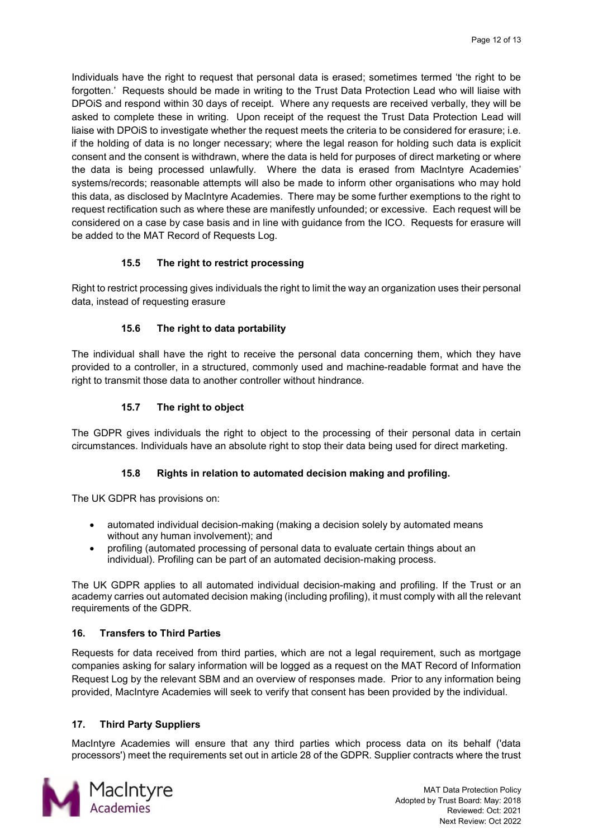Individuals have the right to request that personal data is erased; sometimes termed 'the right to be forgotten.' Requests should be made in writing to the Trust Data Protection Lead who will liaise with DPOiS and respond within 30 days of receipt. Where any requests are received verbally, they will be asked to complete these in writing. Upon receipt of the request the Trust Data Protection Lead will liaise with DPOiS to investigate whether the request meets the criteria to be considered for erasure; i.e. if the holding of data is no longer necessary; where the legal reason for holding such data is explicit consent and the consent is withdrawn, where the data is held for purposes of direct marketing or where the data is being processed unlawfully. Where the data is erased from MacIntyre Academies' systems/records; reasonable attempts will also be made to inform other organisations who may hold this data, as disclosed by MacIntyre Academies. There may be some further exemptions to the right to request rectification such as where these are manifestly unfounded; or excessive. Each request will be considered on a case by case basis and in line with guidance from the ICO. Requests for erasure will be added to the MAT Record of Requests Log.

# **15.5 The right to restrict processing**

<span id="page-11-1"></span><span id="page-11-0"></span>Right to restrict processing gives individuals the right to limit the way an organization uses their personal data, instead of requesting erasure

# **15.6 The right to data portability**

The individual shall have the right to receive the personal data concerning them, which they have provided to a controller, in a structured, commonly used and machine-readable format and have the right to transmit those data to another controller without hindrance.

# **15.7 The right to object**

<span id="page-11-3"></span><span id="page-11-2"></span>The GDPR gives individuals the right to object to the processing of their personal data in certain circumstances. Individuals have an absolute right to stop their data being used for direct marketing.

# **15.8 Rights in relation to automated decision making and profiling.**

The UK GDPR has provisions on:

- automated individual decision-making (making a decision solely by automated means without any human involvement); and
- profiling (automated processing of personal data to evaluate certain things about an individual). Profiling can be part of an automated decision-making process.

The UK GDPR applies to all automated individual decision-making and profiling. If the Trust or an academy carries out automated decision making (including profiling), it must comply with all the relevant requirements of the GDPR.

# <span id="page-11-4"></span>**16. Transfers to Third Parties**

Requests for data received from third parties, which are not a legal requirement, such as mortgage companies asking for salary information will be logged as a request on the MAT Record of Information Request Log by the relevant SBM and an overview of responses made. Prior to any information being provided, MacIntyre Academies will seek to verify that consent has been provided by the individual.

# <span id="page-11-5"></span>**17. Third Party Suppliers**

MacIntyre Academies will ensure that any third parties which process data on its behalf ('data processors') meet the requirements set out in article 28 of the GDPR. Supplier contracts where the trust

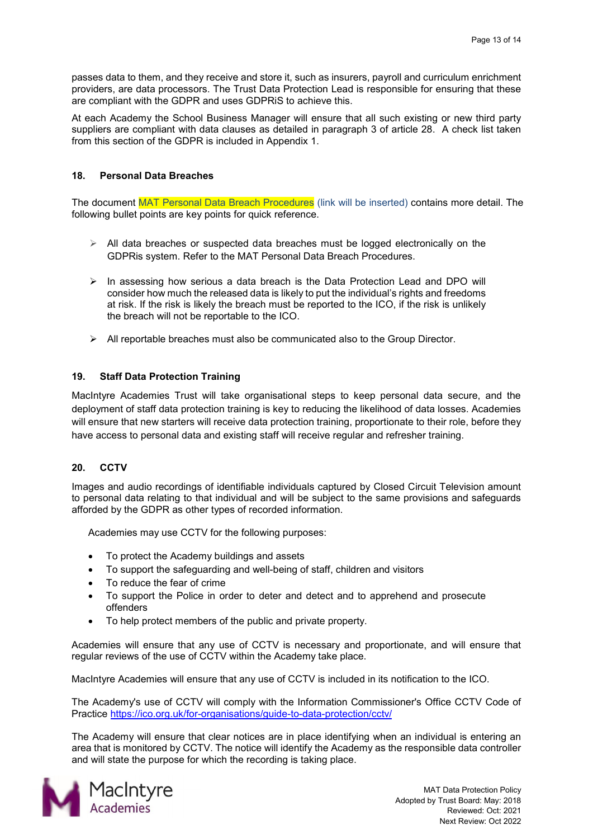passes data to them, and they receive and store it, such as insurers, payroll and curriculum enrichment providers, are data processors. The Trust Data Protection Lead is responsible for ensuring that these are compliant with the GDPR and uses GDPRiS to achieve this.

At each Academy the School Business Manager will ensure that all such existing or new third party suppliers are compliant with data clauses as detailed in paragraph 3 of article 28. A check list taken from this section of the GDPR is included in Appendix 1.

# <span id="page-12-0"></span>**18. Personal Data Breaches**

The document MAT Personal Data Breach Procedures (link will be inserted) contains more detail. The following bullet points are key points for quick reference.

- $\triangleright$  All data breaches or suspected data breaches must be logged electronically on the GDPRis system. Refer to the MAT Personal Data Breach Procedures.
- $\triangleright$  In assessing how serious a data breach is the Data Protection Lead and DPO will consider how much the released data is likely to put the individual's rights and freedoms at risk. If the risk is likely the breach must be reported to the ICO, if the risk is unlikely the breach will not be reportable to the ICO.
- $\triangleright$  All reportable breaches must also be communicated also to the Group Director.

# <span id="page-12-1"></span>**19. Staff Data Protection Training**

MacIntyre Academies Trust will take organisational steps to keep personal data secure, and the deployment of staff data protection training is key to reducing the likelihood of data losses. Academies will ensure that new starters will receive data protection training, proportionate to their role, before they have access to personal data and existing staff will receive regular and refresher training.

# <span id="page-12-2"></span>**20. CCTV**

Images and audio recordings of identifiable individuals captured by Closed Circuit Television amount to personal data relating to that individual and will be subject to the same provisions and safeguards afforded by the GDPR as other types of recorded information.

Academies may use CCTV for the following purposes:

- To protect the Academy buildings and assets
- To support the safeguarding and well-being of staff, children and visitors
- To reduce the fear of crime
- To support the Police in order to deter and detect and to apprehend and prosecute offenders
- To help protect members of the public and private property.

Academies will ensure that any use of CCTV is necessary and proportionate, and will ensure that regular reviews of the use of CCTV within the Academy take place.

MacIntyre Academies will ensure that any use of CCTV is included in its notification to the ICO.

The Academy's use of CCTV will comply with the Information Commissioner's Office CCTV Code of Practice<https://ico.org.uk/for-organisations/guide-to-data-protection/cctv/>

The Academy will ensure that clear notices are in place identifying when an individual is entering an area that is monitored by CCTV. The notice will identify the Academy as the responsible data controller and will state the purpose for which the recording is taking place.

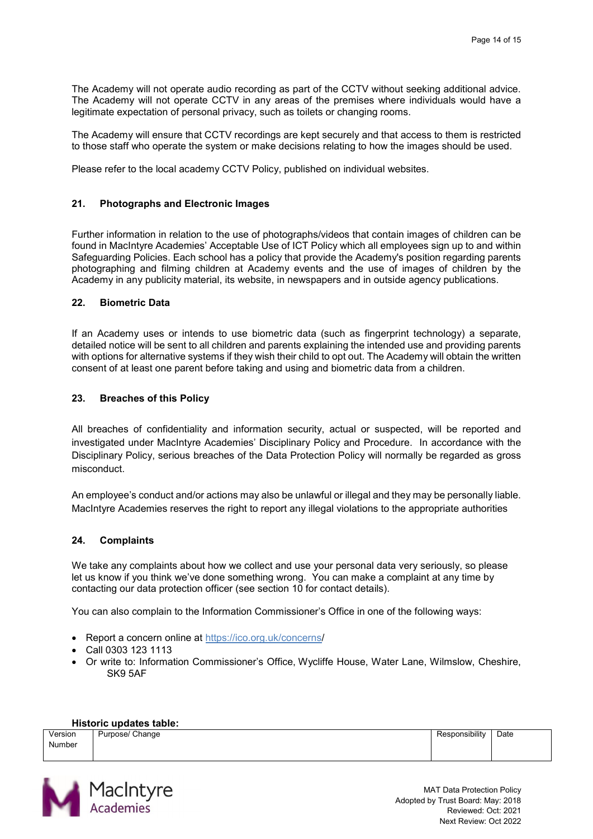The Academy will not operate audio recording as part of the CCTV without seeking additional advice. The Academy will not operate CCTV in any areas of the premises where individuals would have a legitimate expectation of personal privacy, such as toilets or changing rooms.

The Academy will ensure that CCTV recordings are kept securely and that access to them is restricted to those staff who operate the system or make decisions relating to how the images should be used.

Please refer to the local academy CCTV Policy, published on individual websites.

#### <span id="page-13-0"></span>**21. Photographs and Electronic Images**

Further information in relation to the use of photographs/videos that contain images of children can be found in MacIntyre Academies' Acceptable Use of ICT Policy which all employees sign up to and within Safeguarding Policies. Each school has a policy that provide the Academy's position regarding parents photographing and filming children at Academy events and the use of images of children by the Academy in any publicity material, its website, in newspapers and in outside agency publications.

#### <span id="page-13-1"></span>**22. Biometric Data**

If an Academy uses or intends to use biometric data (such as fingerprint technology) a separate, detailed notice will be sent to all children and parents explaining the intended use and providing parents with options for alternative systems if they wish their child to opt out. The Academy will obtain the written consent of at least one parent before taking and using and biometric data from a children.

#### <span id="page-13-2"></span>**23. Breaches of this Policy**

All breaches of confidentiality and information security, actual or suspected, will be reported and investigated under MacIntyre Academies' Disciplinary Policy and Procedure. In accordance with the Disciplinary Policy, serious breaches of the Data Protection Policy will normally be regarded as gross misconduct.

An employee's conduct and/or actions may also be unlawful or illegal and they may be personally liable. MacIntyre Academies reserves the right to report any illegal violations to the appropriate authorities

#### <span id="page-13-3"></span>**24. Complaints**

We take any complaints about how we collect and use your personal data very seriously, so please let us know if you think we've done something wrong. You can [make a complaint](https://www.macintyreacademies.org/page/?title=Making+a+Complaint&pid=13) at any time by contacting our [data protection officer](javascript:mt() (see section 10 for contact details).

You can also complain to the Information Commissioner's Office in one of the following ways:

- Report a concern online at <https://ico.org.uk/concerns/>
- Call 0303 123 1113
- Or write to: Information Commissioner's Office, Wycliffe House, Water Lane, Wilmslow, Cheshire, SK9 5AF

#### **Historic updates table:**

Version Number Purpose/ Change **Responsibility** Date

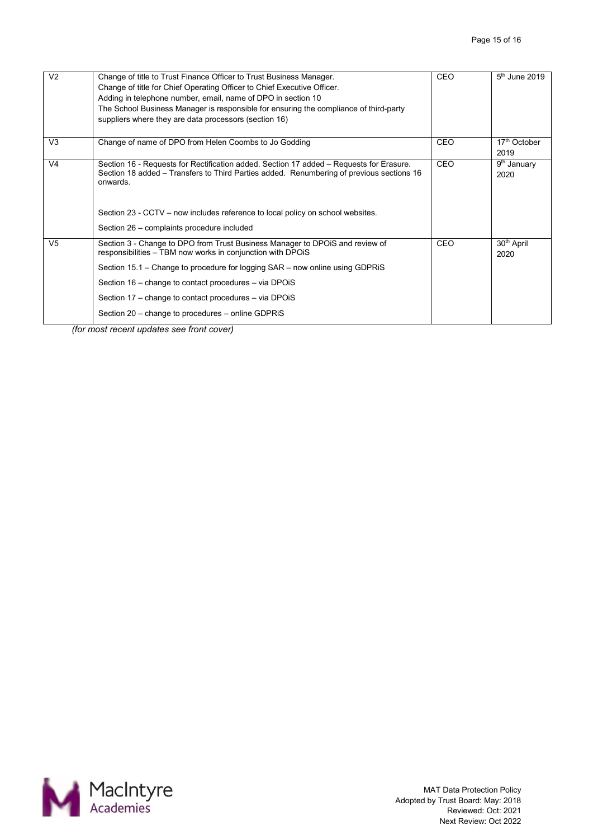| V <sub>2</sub> | Change of title to Trust Finance Officer to Trust Business Manager.<br>Change of title for Chief Operating Officer to Chief Executive Officer.<br>Adding in telephone number, email, name of DPO in section 10<br>The School Business Manager is responsible for ensuring the compliance of third-party<br>suppliers where they are data processors (section 16) | <b>CEO</b> | $5th$ June 2019                  |
|----------------|------------------------------------------------------------------------------------------------------------------------------------------------------------------------------------------------------------------------------------------------------------------------------------------------------------------------------------------------------------------|------------|----------------------------------|
| V <sub>3</sub> | Change of name of DPO from Helen Coombs to Jo Godding                                                                                                                                                                                                                                                                                                            | <b>CEO</b> | 17 <sup>th</sup> October<br>2019 |
| V <sub>4</sub> | Section 16 - Requests for Rectification added. Section 17 added – Requests for Erasure.<br>Section 18 added – Transfers to Third Parties added. Renumbering of previous sections 16<br>onwards.<br>Section 23 - CCTV – now includes reference to local policy on school websites.                                                                                | <b>CEO</b> | 9 <sup>th</sup> January<br>2020  |
|                | Section 26 - complaints procedure included                                                                                                                                                                                                                                                                                                                       |            |                                  |
| V <sub>5</sub> | Section 3 - Change to DPO from Trust Business Manager to DPOiS and review of<br>responsibilities - TBM now works in conjunction with DPOIS                                                                                                                                                                                                                       | CEO        | 30 <sup>th</sup> April<br>2020   |
|                | Section 15.1 - Change to procedure for logging SAR - now online using GDPRiS                                                                                                                                                                                                                                                                                     |            |                                  |
|                | Section 16 - change to contact procedures - via DPOiS                                                                                                                                                                                                                                                                                                            |            |                                  |
|                | Section 17 – change to contact procedures – via DPOiS                                                                                                                                                                                                                                                                                                            |            |                                  |
|                | Section 20 – change to procedures – online GDPRIS                                                                                                                                                                                                                                                                                                                |            |                                  |

*(for most recent updates see front cover)*